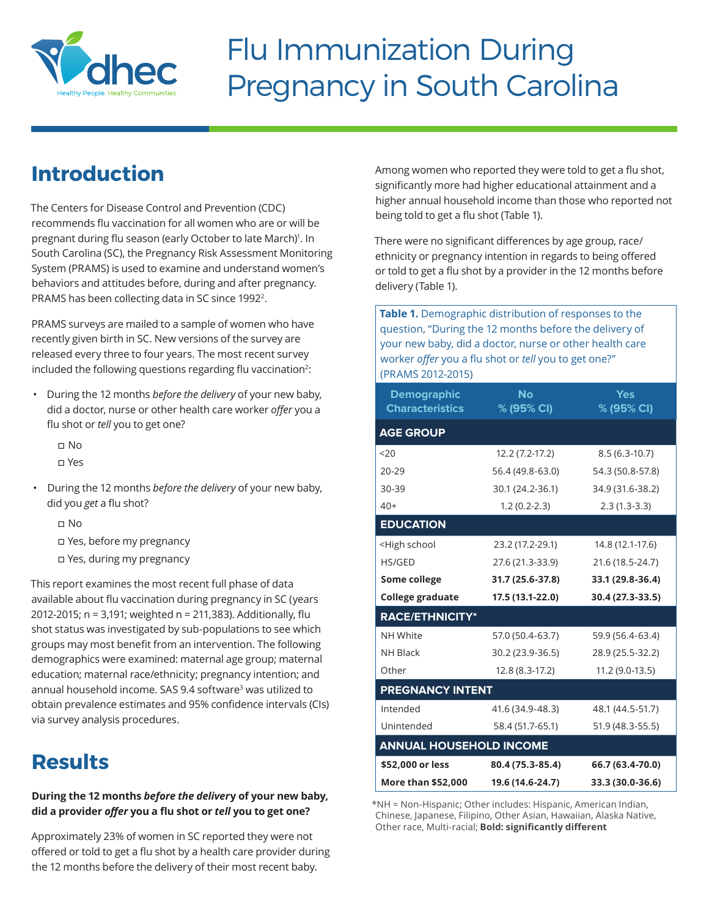

# Flu Immunization During Pregnancy in South Carolina

## **Introduction**

The Centers for Disease Control and Prevention (CDC) recommends flu vaccination for all women who are or will be pregnant during flu season (early October to late March)<sup>1</sup>. In South Carolina (SC), the Pregnancy Risk Assessment Monitoring System (PRAMS) is used to examine and understand women's behaviors and attitudes before, during and after pregnancy. PRAMS has been collecting data in SC since 19922.

PRAMS surveys are mailed to a sample of women who have recently given birth in SC. New versions of the survey are released every three to four years. The most recent survey included the following questions regarding flu vaccination<sup>2</sup>:

- During the 12 months *before the delivery* of your new baby, did a doctor, nurse or other health care worker *offer* you a flu shot or *tell* you to get one?
	- o No
	- o Yes
- During the 12 months *before the delivery* of your new baby, did you *get* a flu shot?
	- o No
	- o Yes, before my pregnancy
	- o Yes, during my pregnancy

This report examines the most recent full phase of data available about flu vaccination during pregnancy in SC (years 2012-2015; n = 3,191; weighted n = 211,383). Additionally, flu shot status was investigated by sub-populations to see which groups may most benefit from an intervention. The following demographics were examined: maternal age group; maternal education; maternal race/ethnicity; pregnancy intention; and annual household income. SAS 9.4 software<sup>3</sup> was utilized to obtain prevalence estimates and 95% confidence intervals (CIs) via survey analysis procedures.

### **Results**

### **During the 12 months** *before the deliver***y of your new baby, did a provider** *offer* **you a flu shot or** *tell* **you to get one?**

Approximately 23% of women in SC reported they were not offered or told to get a flu shot by a health care provider during the 12 months before the delivery of their most recent baby.

Among women who reported they were told to get a flu shot, significantly more had higher educational attainment and a higher annual household income than those who reported not being told to get a flu shot (Table 1).

There were no significant differences by age group, race/ ethnicity or pregnancy intention in regards to being offered or told to get a flu shot by a provider in the 12 months before delivery (Table 1).

**Table 1.** Demographic distribution of responses to the question, "During the 12 months before the delivery of your new baby, did a doctor, nurse or other health care worker *offer* you a flu shot or *tell* you to get one?" (PRAMS 2012-2015)

| <b>Demographic</b><br><b>Characteristics</b>                                     | <b>No</b><br>$\%$ (95% CI) | <b>Yes</b><br>% (95% CI) |
|----------------------------------------------------------------------------------|----------------------------|--------------------------|
| <b>AGE GROUP</b>                                                                 |                            |                          |
| 20 <sub>20</sub>                                                                 | 12.2 (7.2-17.2)            | $8.5(6.3-10.7)$          |
| $20 - 29$                                                                        | 56.4 (49.8-63.0)           | 54.3 (50.8-57.8)         |
| 30-39                                                                            | 30.1 (24.2-36.1)           | 34.9 (31.6-38.2)         |
| $40+$                                                                            | $1.2(0.2-2.3)$             | $2.3(1.3-3.3)$           |
| <b>EDUCATION</b>                                                                 |                            |                          |
| <high school<="" td=""><td>23.2 (17.2-29.1)</td><td>14.8 (12.1-17.6)</td></high> | 23.2 (17.2-29.1)           | 14.8 (12.1-17.6)         |
| HS/GED                                                                           | 27.6 (21.3-33.9)           | 21.6 (18.5-24.7)         |
| Some college                                                                     | 31.7 (25.6-37.8)           | 33.1 (29.8-36.4)         |
|                                                                                  |                            |                          |
| <b>College graduate</b>                                                          | 17.5 (13.1-22.0)           | 30.4 (27.3-33.5)         |
| <b>RACE/ETHNICITY*</b>                                                           |                            |                          |
| NH White                                                                         | 57.0 (50.4-63.7)           | 59.9 (56.4-63.4)         |
| <b>NH Black</b>                                                                  | 30.2 (23.9-36.5)           | 28.9 (25.5-32.2)         |
| Other                                                                            | 12.8 (8.3-17.2)            | 11.2 (9.0-13.5)          |
| <b>PREGNANCY INTENT</b>                                                          |                            |                          |
| Intended                                                                         | 41.6 (34.9-48.3)           | 48.1 (44.5-51.7)         |
| Unintended                                                                       | 58.4 (51.7-65.1)           | 51.9 (48.3-55.5)         |
| <b>ANNUAL HOUSEHOLD INCOME</b>                                                   |                            |                          |
| \$52,000 or less                                                                 | 80.4 (75.3-85.4)           | 66.7 (63.4-70.0)         |

\*NH = Non-Hispanic; Other includes: Hispanic, American Indian, Chinese, Japanese, Filipino, Other Asian, Hawaiian, Alaska Native, Other race, Multi-racial; **Bold: significantly different**